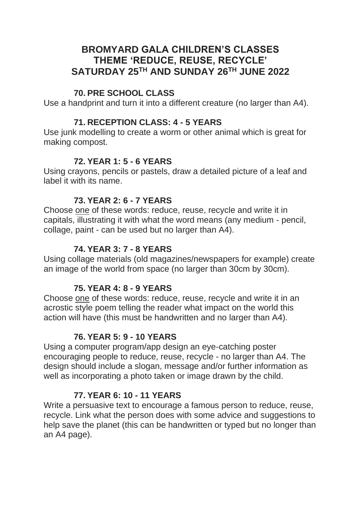## **BROMYARD GALA CHILDREN'S CLASSES THEME 'REDUCE, REUSE, RECYCLE' SATURDAY 25TH AND SUNDAY 26TH JUNE 2022**

#### **70. PRE SCHOOL CLASS**

Use a handprint and turn it into a different creature (no larger than A4).

#### **71. RECEPTION CLASS: 4 - 5 YEARS**

Use junk modelling to create a worm or other animal which is great for making compost.

## **72. YEAR 1: 5 - 6 YEARS**

Using crayons, pencils or pastels, draw a detailed picture of a leaf and label it with its name.

## **73. YEAR 2: 6 - 7 YEARS**

Choose one of these words: reduce, reuse, recycle and write it in capitals, illustrating it with what the word means (any medium - pencil, collage, paint - can be used but no larger than A4).

## **74. YEAR 3: 7 - 8 YEARS**

Using collage materials (old magazines/newspapers for example) create an image of the world from space (no larger than 30cm by 30cm).

## **75. YEAR 4: 8 - 9 YEARS**

Choose one of these words: reduce, reuse, recycle and write it in an acrostic style poem telling the reader what impact on the world this action will have (this must be handwritten and no larger than A4).

## **76. YEAR 5: 9 - 10 YEARS**

Using a computer program/app design an eye-catching poster encouraging people to reduce, reuse, recycle - no larger than A4. The design should include a slogan, message and/or further information as well as incorporating a photo taken or image drawn by the child.

## **77. YEAR 6: 10 - 11 YEARS**

Write a persuasive text to encourage a famous person to reduce, reuse, recycle. Link what the person does with some advice and suggestions to help save the planet (this can be handwritten or typed but no longer than an A4 page).